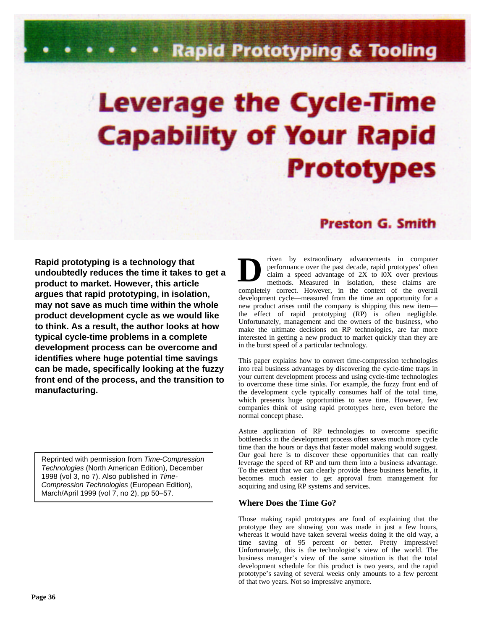## **Rapid Prototyping & Tooling**

# **Leverage the Cycle-Time Capability of Your Rapid Prototypes**

### **Preston G. Smith**

**Rapid prototyping is a technology that undoubtedly reduces the time it takes to get a product to market. However, this article argues that rapid prototyping, in isolation, may not save as much time within the whole product development cycle as we would like to think. As a result, the author looks at how typical cycle-time problems in a complete development process can be overcome and identifies where huge potential time savings can be made, specifically looking at the fuzzy front end of the process, and the transition to manufacturing.**

Reprinted with permission from *Time-Compression Technologies* (North American Edition), December 1998 (vol 3, no 7). Also published in *Time-Compression Technologies* (European Edition), March/April 1999 (vol 7, no 2), pp 50–57.

riven by extraordinary advancements in computer performance over the past decade, rapid prototypes' often claim a speed advantage of  $2X$  to  $10X$  over previous methods. Measured in isolation, these claims are completely correct. However, in the context of the overall development cycle—measured from the time an opportunity for a new product arises until the company is shipping this new item the effect of rapid prototyping (RP) is often negligible. Unfortunately, management and the owners of the business, who make the ultimate decisions on RP technologies, are far more interested in getting a new product to market quickly than they are in the burst speed of a particular technology. **D**

This paper explains how to convert time-compression technologies into real business advantages by discovering the cycle-time traps in your current development process and using cycle-time technologies to overcome these time sinks. For example, the fuzzy front end of the development cycle typically consumes half of the total time, which presents huge opportunities to save time. However, few companies think of using rapid prototypes here, even before the normal concept phase.

Astute application of RP technologies to overcome specific bottlenecks in the development process often saves much more cycle time than the hours or days that faster model making would suggest. Our goal here is to discover these opportunities that can really leverage the speed of RP and turn them into a business advantage. To the extent that we can clearly provide these business benefits, it becomes much easier to get approval from management for acquiring and using RP systems and services.

#### **Where Does the Time Go?**

Those making rapid prototypes are fond of explaining that the prototype they are showing you was made in just a few hours, whereas it would have taken several weeks doing it the old way, a time saving of 95 percent or better. Pretty impressive! Unfortunately, this is the technologist's view of the world. The business manager's view of the same situation is that the total development schedule for this product is two years, and the rapid prototype's saving of several weeks only amounts to a few percent of that two years. Not so impressive anymore.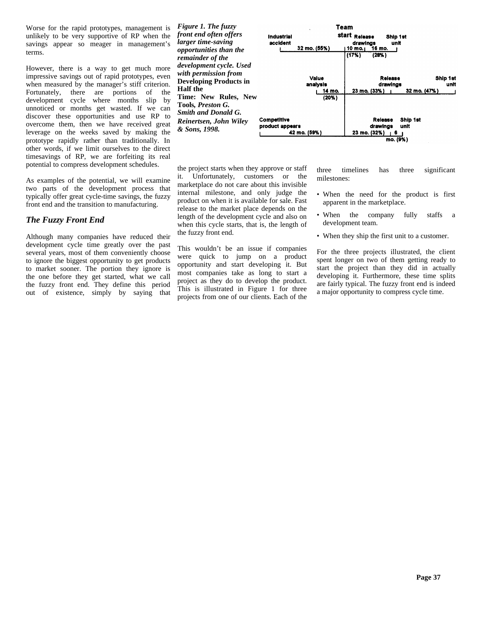Worse for the rapid prototypes, management is unlikely to be very supportive of RP when the savings appear so meager in management's terms.

However, there is a way to get much more impressive savings out of rapid prototypes, even when measured by the manager's stiff criterion. Fortunately, there are portions of the development cycle where months slip by unnoticed or months get wasted. If we can discover these opportunities and use RP to overcome them, then we have received great leverage on the weeks saved by making the prototype rapidly rather than traditionally. In other words, if we limit ourselves to the direct timesavings of RP, we are forfeiting its real potential to compress development schedules.

As examples of the potential, we will examine two parts of the development process that typically offer great cycle-time savings, the fuzzy front end and the transition to manufacturing.

#### *The Fuzzy Front End*

Although many companies have reduced their development cycle time greatly over the past several years, most of them conveniently choose to ignore the biggest opportunity to get products to market sooner. The portion they ignore is the one before they get started, what we call the fuzzy front end. They define this period out of existence, simply by saying that

*front end often offers larger time-saving opportunities than the remainder of the development cycle. Used with permission from* **Developing Products in Half the Time: New Rules, New Tools***, Preston G. Smith and Donald G. Reinertsen, John Wiley & Sons, 1998.*



the project starts when they approve or staff it. Unfortunately, customers or the marketplace do not care about this invisible internal milestone, and only judge the product on when it is available for sale. Fast release to the market place depends on the length of the development cycle and also on when this cycle starts, that is, the length of the fuzzy front end.

This wouldn't be an issue if companies were quick to jump on a product opportunity and start developing it. But most companies take as long to start a project as they do to develop the product. This is illustrated in Figure 1 for three projects from one of our clients. Each of the three timelines has three significant milestones:

- When the need for the product is first apparent in the marketplace.
- When the company fully staffs a development team.
- When they ship the first unit to a customer.

For the three projects illustrated, the client spent longer on two of them getting ready to start the project than they did in actually developing it. Furthermore, these time splits are fairly typical. The fuzzy front end is indeed a major opportunity to compress cycle time.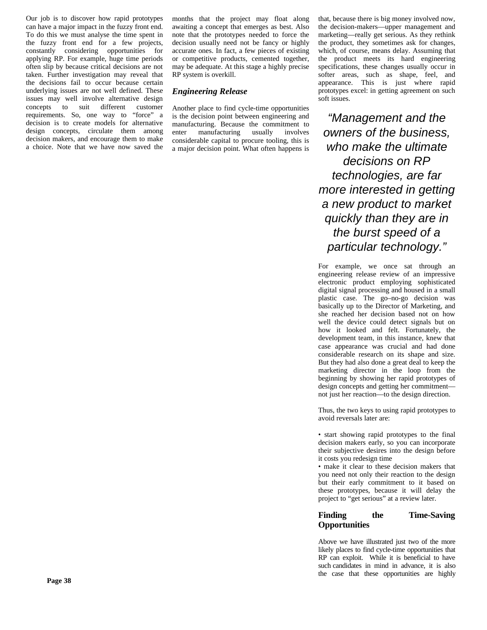Our job is to discover how rapid prototypes can have a major impact in the fuzzy front end. To do this we must analyse the time spent in the fuzzy front end for a few projects, constantly considering opportunities for applying RP. For example, huge time periods often slip by because critical decisions are not taken. Further investigation may reveal that the decisions fail to occur because certain underlying issues are not well defined. These issues may well involve alternative design concepts to suit different customer requirements. So, one way to "force" a decision is to create models for alternative design concepts, circulate them among decision makers, and encourage them to make a choice. Note that we have now saved the

months that the project may float along awaiting a concept that emerges as best. Also note that the prototypes needed to force the decision usually need not be fancy or highly accurate ones. In fact, a few pieces of existing or competitive products, cemented together, may be adequate. At this stage a highly precise RP system is overkill.

#### *Engineering Release*

Another place to find cycle-time opportunities is the decision point between engineering and manufacturing. Because the commitment to enter manufacturing usually involves considerable capital to procure tooling, this is a major decision point. What often happens is that, because there is big money involved now, the decision-makers—upper management and marketing—really get serious. As they rethink the product, they sometimes ask for changes, which, of course, means delay. Assuming that the product meets its hard engineering specifications, these changes usually occur in softer areas, such as shape, feel, and appearance. This is just where rapid prototypes excel: in getting agreement on such soft issues.

*"Management and the owners of the business, who make the ultimate decisions on RP technologies, are far more interested in getting a new product to market quickly than they are in the burst speed of a particular technology."*

For example, we once sat through an engineering release review of an impressive electronic product employing sophisticated digital signal processing and housed in a small plastic case. The go–no-go decision was basically up to the Director of Marketing, and she reached her decision based not on how well the device could detect signals but on how it looked and felt. Fortunately, the development team, in this instance, knew that case appearance was crucial and had done considerable research on its shape and size. But they had also done a great deal to keep the marketing director in the loop from the beginning by showing her rapid prototypes of design concepts and getting her commitment not just her reaction—to the design direction.

Thus, the two keys to using rapid prototypes to avoid reversals later are:

• start showing rapid prototypes to the final decision makers early, so you can incorporate their subjective desires into the design before it costs you redesign time

• make it clear to these decision makers that you need not only their reaction to the design but their early commitment to it based on these prototypes, because it will delay the project to "get serious" at a review later.

#### **Finding the Time-Saving Opportunities**

Above we have illustrated just two of the more likely places to find cycle-time opportunities that RP can exploit. While it is beneficial to have such candidates in mind in advance, it is also the case that these opportunities are highly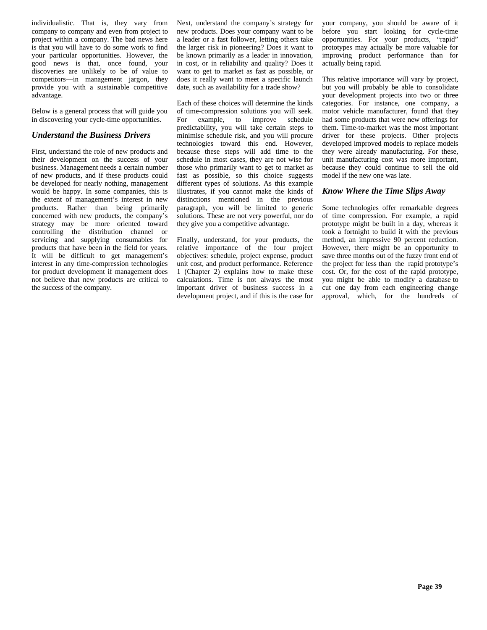individualistic. That is, they vary from company to company and even from project to project within a company. The bad news here is that you will have to do some work to find your particular opportunities. However, the good news is that, once found, your discoveries are unlikely to be of value to competitors—in management jargon, they provide you with a sustainable competitive advantage.

Below is a general process that will guide you in discovering your cycle-time opportunities.

#### *Understand the Business Drivers*

First, understand the role of new products and their development on the success of your business. Management needs a certain number of new products, and if these products could be developed for nearly nothing, management would be happy. In some companies, this is the extent of management's interest in new products. Rather than being primarily concerned with new products, the company's strategy may be more oriented toward controlling the distribution channel or servicing and supplying consumables for products that have been in the field for years. It will be difficult to get management's interest in any time-compression technologies for product development if management does not believe that new products are critical to the success of the company.

Next, understand the company's strategy for new products. Does your company want to be a leader or a fast follower, letting others take the larger risk in pioneering? Does it want to be known primarily as a leader in innovation, in cost, or in reliability and quality? Does it want to get to market as fast as possible, or does it really want to meet a specific launch date, such as availability for a trade show?

Each of these choices will determine the kinds of time-compression solutions you will seek. For example, to improve schedule predictability, you will take certain steps to minimise schedule risk, and you will procure technologies toward this end. However, because these steps will add time to the schedule in most cases, they are not wise for those who primarily want to get to market as fast as possible, so this choice suggests different types of solutions. As this example illustrates, if you cannot make the kinds of distinctions mentioned in the previous paragraph, you will be limited to generic solutions. These are not very powerful, nor do they give you a competitive advantage.

Finally, understand, for your products, the relative importance of the four project objectives: schedule, project expense, product unit cost, and product performance. Reference 1 (Chapter 2) explains how to make these calculations. Time is not always the most important driver of business success in a development project, and if this is the case for

your company, you should be aware of it before you start looking for cycle-time opportunities. For your products, "rapid" prototypes may actually be more valuable for improving product performance than for actually being rapid.

This relative importance will vary by project, but you will probably be able to consolidate your development projects into two or three categories. For instance, one company, a motor vehicle manufacturer, found that they had some products that were new offerings for them. Time-to-market was the most important driver for these projects. Other projects developed improved models to replace models they were already manufacturing. For these, unit manufacturing cost was more important, because they could continue to sell the old model if the new one was late.

#### *Know Where the Time Slips Away*

Some technologies offer remarkable degrees of time compression. For example, a rapid prototype might be built in a day, whereas it took a fortnight to build it with the previous method, an impressive 90 percent reduction. However, there might be an opportunity to save three months out of the fuzzy front end of the project for less than the rapid prototype's cost. Or, for the cost of the rapid prototype, you might be able to modify a database to cut one day from each engineering change approval, which, for the hundreds of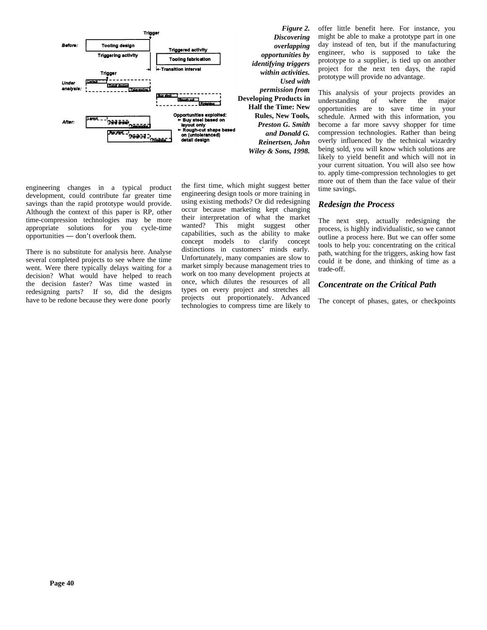

offer little benefit here. For instance, you might be able to make a prototype part in one day instead of ten, but if the manufacturing engineer, who is supposed to take the prototype to a supplier, is tied up on another project for the next ten days, the rapid prototype will provide no advantage.

This analysis of your projects provides an understanding of where the major opportunities are to save time in your schedule. Armed with this information, you become a far more savvy shopper for time compression technologies. Rather than being overly influenced by the technical wizardry being sold, you will know which solutions are likely to yield benefit and which will not in your current situation. You will also see how to. apply time-compression technologies to get more out of them than the face value of their time savings.

#### *Redesign the Process*

The next step, actually redesigning the process, is highly individualistic, so we cannot outline a process here. But we can offer some tools to help you: concentrating on the critical path, watching for the triggers, asking how fast could it be done, and thinking of time as a trade-off.

#### *Concentrate on the Critical Path*

The concept of phases, gates, or checkpoints

engineering changes in a typical product development, could contribute far greater time savings than the rapid prototype would provide. Although the context of this paper is RP, other time-compression technologies may be more appropriate solutions for you cycle-time opportunities — don't overlook them.

There is no substitute for analysis here. Analyse several completed projects to see where the time went. Were there typically delays waiting for a decision? What would have helped to reach the decision faster? Was time wasted in redesigning parts? If so, did the designs have to be redone because they were done poorly

engineering design tools or more training in using existing methods? Or did redesigning occur because marketing kept changing their interpretation of what the market wanted? This might suggest other capabilities, such as the ability to make concept models to clarify concept distinctions in customers' minds early. Unfortunately, many companies are slow to market simply because management tries to work on too many development projects at once, which dilutes the resources of all types on every project and stretches all projects out proportionately. Advanced technologies to compress time are likely to

the first time, which might suggest better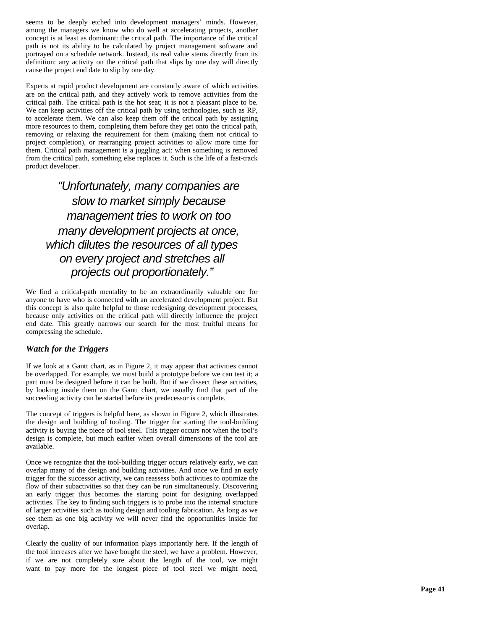seems to be deeply etched into development managers' minds. However, among the managers we know who do well at accelerating projects, another concept is at least as dominant: the critical path. The importance of the critical path is not its ability to be calculated by project management software and portrayed on a schedule network. Instead, its real value stems directly from its definition: any activity on the critical path that slips by one day will directly cause the project end date to slip by one day.

Experts at rapid product development are constantly aware of which activities are on the critical path, and they actively work to remove activities from the critical path. The critical path is the hot seat; it is not a pleasant place to be. We can keep activities off the critical path by using technologies, such as RP, to accelerate them. We can also keep them off the critical path by assigning more resources to them, completing them before they get onto the critical path, removing or relaxing the requirement for them (making them not critical to project completion), or rearranging project activities to allow more time for them. Critical path management is a juggling act: when something is removed from the critical path, something else replaces it. Such is the life of a fast-track product developer.

*"Unfortunately, many companies are slow to market simply because management tries to work on too many development projects at once, which dilutes the resources of all types on every project and stretches all projects out proportionately."*

We find a critical-path mentality to be an extraordinarily valuable one for anyone to have who is connected with an accelerated development project. But this concept is also quite helpful to those redesigning development processes, because only activities on the critical path will directly influence the project end date. This greatly narrows our search for the most fruitful means for compressing the schedule.

#### *Watch for the Triggers*

If we look at a Gantt chart, as in Figure 2, it may appear that activities cannot be overlapped. For example, we must build a prototype before we can test it; a part must be designed before it can be built. But if we dissect these activities, by looking inside them on the Gantt chart, we usually find that part of the succeeding activity can be started before its predecessor is complete.

The concept of triggers is helpful here, as shown in Figure 2, which illustrates the design and building of tooling. The trigger for starting the tool-building activity is buying the piece of tool steel. This trigger occurs not when the tool's design is complete, but much earlier when overall dimensions of the tool are available.

Once we recognize that the tool-building trigger occurs relatively early, we can overlap many of the design and building activities. And once we find an early trigger for the successor activity, we can reassess both activities to optimize the flow of their subactivities so that they can be run simultaneously. Discovering an early trigger thus becomes the starting point for designing overlapped activities. The key to finding such triggers is to probe into the internal structure of larger activities such as tooling design and tooling fabrication. As long as we see them as one big activity we will never find the opportunities inside for overlap.

Clearly the quality of our information plays importantly here. If the length of the tool increases after we have bought the steel, we have a problem. However, if we are not completely sure about the length of the tool, we might want to pay more for the longest piece of tool steel we might need,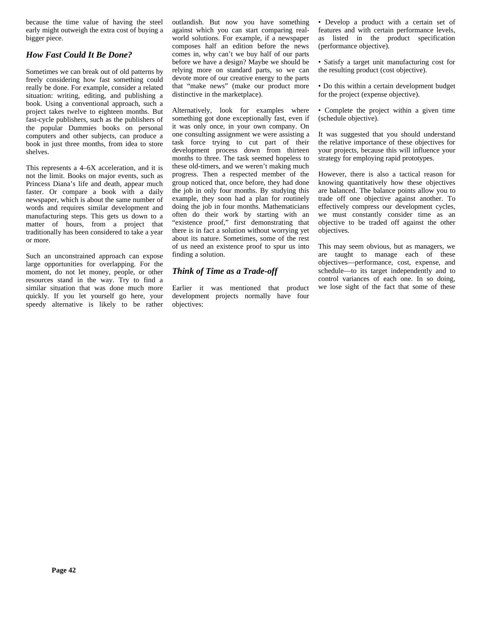because the time value of having the steel early might outweigh the extra cost of buying a bigger piece.

#### *How Fast Could It Be Done?*

Sometimes we can break out of old patterns by freely considering how fast something could really be done. For example, consider a related situation: writing, editing, and publishing a book. Using a conventional approach, such a project takes twelve to eighteen months. But fast-cycle publishers, such as the publishers of the popular Dummies books on personal computers and other subjects, can produce a book in just three months, from idea to store shelves.

This represents a 4–6X acceleration, and it is not the limit. Books on major events, such as Princess Diana's life and death, appear much faster. Or compare a book with a daily newspaper, which is about the same number of words and requires similar development and manufacturing steps. This gets us down to a matter of hours, from a project that traditionally has been considered to take a year or more.

Such an unconstrained approach can expose large opportunities for overlapping. For the moment, do not let money, people, or other resources stand in the way. Try to find a similar situation that was done much more quickly. If you let yourself go here, your speedy alternative is likely to be rather

outlandish. But now you have something against which you can start comparing realworld solutions. For example, if a newspaper composes half an edition before the news comes in, why can't we buy half of our parts before we have a design? Maybe we should be relying more on standard parts, so we can devote more of our creative energy to the parts that "make news" (make our product more distinctive in the marketplace).

Alternatively, look for examples where something got done exceptionally fast, even if it was only once, in your own company. On one consulting assignment we were assisting a task force trying to cut part of their development process down from thirteen months to three. The task seemed hopeless to these old-timers, and we weren't making much progress. Then a respected member of the group noticed that, once before, they had done the job in only four months. By studying this example, they soon had a plan for routinely doing the job in four months. Mathematicians often do their work by starting with an "existence proof," first demonstrating that there is in fact a solution without worrying yet about its nature. Sometimes, some of the rest of us need an existence proof to spur us into finding a solution.

#### *Think of Time as a Trade-off*

Earlier it was mentioned that product development projects normally have four objectives:

• Develop a product with a certain set of features and with certain performance levels, as listed in the product specification (performance objective).

• Satisfy a target unit manufacturing cost for the resulting product (cost objective).

• Do this within a certain development budget for the project (expense objective).

• Complete the project within a given time (schedule objective).

It was suggested that you should understand the relative importance of these objectives for your projects, because this will influence your strategy for employing rapid prototypes.

However, there is also a tactical reason for knowing quantitatively how these objectives are balanced. The balance points allow you to trade off one objective against another. To effectively compress our development cycles, we must constantly consider time as an objective to be traded off against the other objectives.

This may seem obvious, but as managers, we are taught to manage each of these objectives—performance, cost, expense, and schedule—to its target independently and to control variances of each one. In so doing, we lose sight of the fact that some of these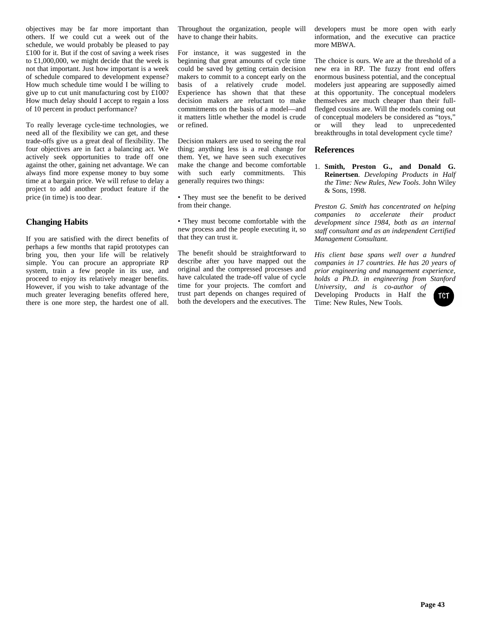objectives may be far more important than others. If we could cut a week out of the schedule, we would probably be pleased to pay £100 for it. But if the cost of saving a week rises to £1,000,000, we might decide that the week is not that important. Just how important is a week of schedule compared to development expense? How much schedule time would I be willing to give up to cut unit manufacturing cost by £100? How much delay should I accept to regain a loss of 10 percent in product performance?

To really leverage cycle-time technologies, we need all of the flexibility we can get, and these trade-offs give us a great deal of flexibility. The four objectives are in fact a balancing act. We actively seek opportunities to trade off one against the other, gaining net advantage. We can always find more expense money to buy some time at a bargain price. We will refuse to delay a project to add another product feature if the price (in time) is too dear.

#### **Changing Habits**

If you are satisfied with the direct benefits of perhaps a few months that rapid prototypes can bring you, then your life will be relatively simple. You can procure an appropriate RP system, train a few people in its use, and proceed to enjoy its relatively meager benefits. However, if you wish to take advantage of the much greater leveraging benefits offered here, there is one more step, the hardest one of all.

Throughout the organization, people will have to change their habits.

For instance, it was suggested in the beginning that great amounts of cycle time could be saved by getting certain decision makers to commit to a concept early on the basis of a relatively crude model. Experience has shown that that these decision makers are reluctant to make commitments on the basis of a model—and it matters little whether the model is crude or refined.

Decision makers are used to seeing the real thing; anything less is a real change for them. Yet, we have seen such executives make the change and become comfortable with such early commitments. This generally requires two things:

• They must see the benefit to be derived from their change.

• They must become comfortable with the new process and the people executing it, so that they can trust it.

The benefit should be straightforward to describe after you have mapped out the original and the compressed processes and have calculated the trade-off value of cycle time for your projects. The comfort and trust part depends on changes required of both the developers and the executives. The developers must be more open with early information, and the executive can practice more MBWA.

The choice is ours. We are at the threshold of a new era in RP. The fuzzy front end offers enormous business potential, and the conceptual modelers just appearing are supposedly aimed at this opportunity. The conceptual modelers themselves are much cheaper than their fullfledged cousins are. Will the models coming out of conceptual modelers be considered as "toys," or will they lead to unprecedented breakthroughs in total development cycle time?

#### **References**

1. **Smith, Preston G., and Donald G. Reinertsen**. *Developing Products in Half the Time: New Rules, New Tools*. John Wiley & Sons, 1998.

*Preston G. Smith has concentrated on helping companies to accelerate their product development since 1984, both as an internal staff consultant and as an independent Certified Management Consultant.*

*His client base spans well over a hundred companies in 17 countries. He has 20 years of prior engineering and management experience, holds a Ph.D. in engineering from Stanford*

*University, and is co-author of* Developing Products in Half the Time: New Rules, New Tools*.*